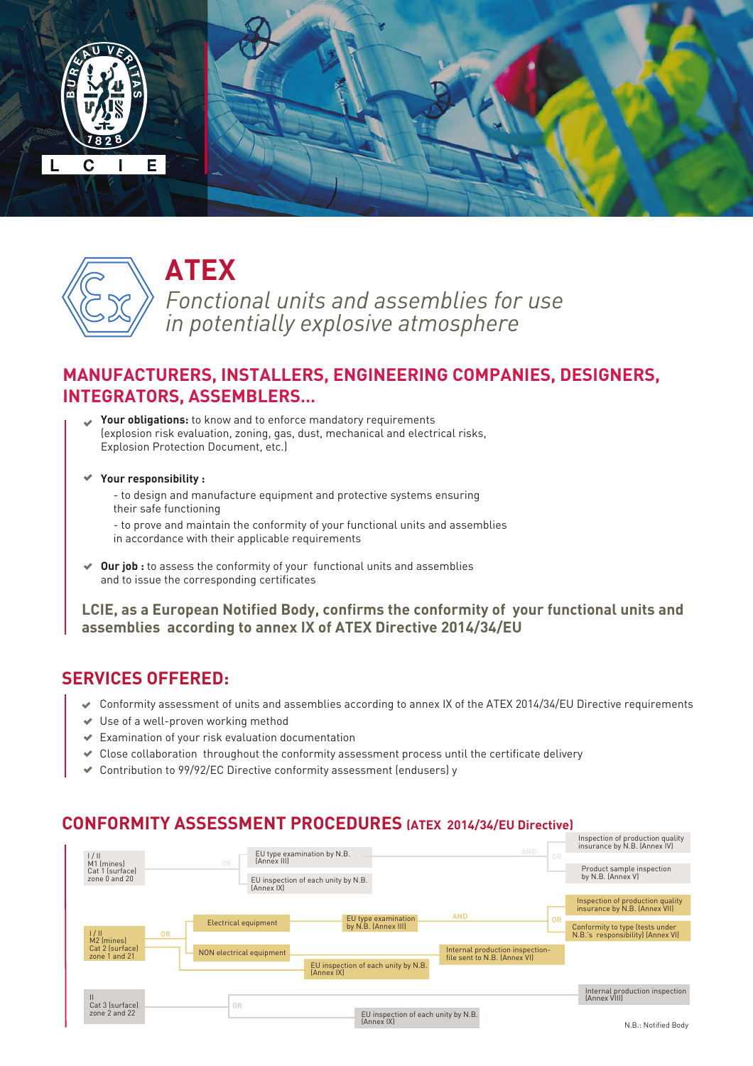



# **ATEX**

*Fonctional units and assemblies for use in potentially explosive atmosphere*

# **MANUFACTURERS, INSTALLERS, ENGINEERING COMPANIES, DESIGNERS, INTEGRATORS, ASSEMBLERS…**

- **Your obligations:** to know and to enforce mandatory requirements (explosion risk evaluation, zoning, gas, dust, mechanical and electrical risks, Explosion Protection Document, etc.)
- **Your responsibility :** 
	- to design and manufacture equipment and protective systems ensuring their safe functioning
	- to prove and maintain the conformity of your functional units and assemblies in accordance with their applicable requirements
- **Our job :** to assess the conformity of your functional units and assemblies and to issue the corresponding certificates

**LCIE, as a European Notified Body, confirms the conformity of your functional units and assemblies according to annex IX of ATEX Directive 2014/34/EU** 

# **SERVICES OFFERED:**

- $\bullet$  Conformity assessment of units and assemblies according to annex IX of the ATEX 2014/34/EU Directive requirements
- ◆ Use of a well-proven working method
- $\blacktriangleright$  Examination of your risk evaluation documentation
- $\triangleleft$  Close collaboration throughout the conformity assessment process until the certificate delivery
- Contribution to 99/92/EC Directive conformity assessment (endusers) y

## **CONFORMITY ASSESSMENT PROCEDURES (ATEX 2014/34/EU Directive)**